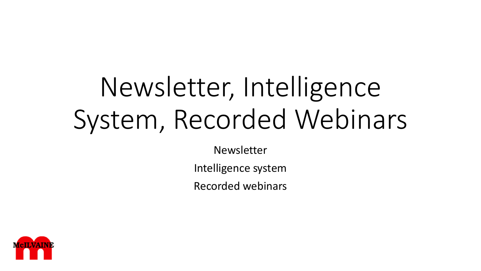# Newsletter, Intelligence System, Recorded Webinars

Newsletter

Intelligence system

Recorded webinars

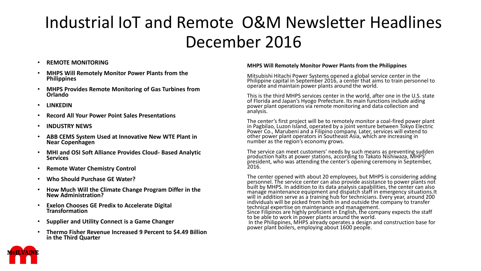### Industrial IoT and Remote O&M Newsletter Headlines December 2016

#### • **REMOTE MONITORING**

- **MHPS Will Remotely Monitor Power Plants from the Philippines**
- **MHPS Provides Remote Monitoring of Gas Turbines from Orlando**
- **LINKEDIN**
- **Record All Your Power Point Sales Presentations**
- **INDUSTRY NEWS**
- **ABB CEMS System Used at Innovative New WTE Plant in Near Copenhagen**
- **MHI and OSI Soft Alliance Provides Cloud- Based Analytic Services**
- **Remote Water Chemistry Control**
- **Who Should Purchase GE Water?**
- **How Much Will the Climate Change Program Differ in the New Administration?**
- **Exelon Chooses GE Predix to Accelerate Digital Transformation**
- **Supplier and Utility Connect is a Game Changer**
- **Thermo Fisher Revenue Increased 9 Percent to \$4.49 Billion in the Third Quarter**

#### **MHPS Will Remotely Monitor Power Plants from the Philippines**

Mitsubishi Hitachi Power Systems opened a global service center in the Philippine capital in September 2016, a center that aims to train personnel to operate and maintain power plants around the world.

This is the third MHPS services center in the world, after one in the U.S. state of Florida and Japan's Hyogo Prefecture. Its main functions include aiding power plant operations via remote monitoring and data collection and analysis.

The center's first project will be to remotely monitor a coal-fired power plant in Pagbilao, Luzon Island, operated by a joint venture between Tokyo Electric Power Co., Marubeni and a Filipino company. Later, services will extend to other power plant operators in Southeast Asia, which are increasing in number as the region's economy grows.

The service can meet customers' needs by such means as preventing sudden production halts at power stations, according to Takato Nishiwaza, MHPS' president, who was attending the center's opening ceremony in September, 2016.

The center opened with about 20 employees, but MHPS is considering adding personnel. The service center can also provide assistance to power plants not built by MHPS. In addition to its data analysis capabilities, the center can also manage maintenance equipment and dispatch staff in emergency situations.It will in addition serve as a training hub for technicians. Every year, around 200 individuals will be picked from both in and outside the company to transfer technical expertise on maintenance and management. Since Filipinos are highly proficient in English, the company expects the staff to be able to work in power plants around the world. In the Philippines, MHPS already operates a design and construction base for

power plant boilers, employing about 1600 people.

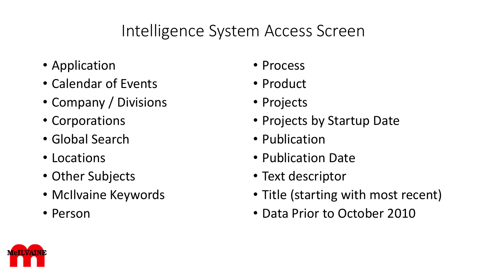### Intelligence System Access Screen

- Application
- Calendar of Events
- Company / Divisions
- Corporations
- Global Search
- Locations
- Other Subjects
- McIlvaine Keywords
- Person
- Process
- Product
- Projects
- Projects by Startup Date
- Publication
- Publication Date
- Text descriptor
- Title (starting with most recent)
- Data Prior to October 2010

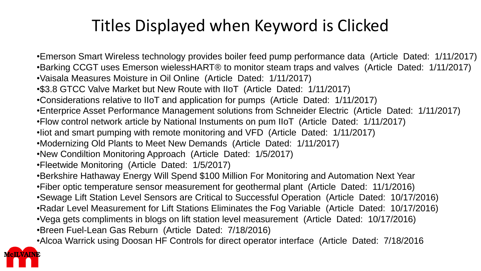#### Titles Displayed when Keyword is Clicked

- •Emerson Smart Wireless technology provides boiler feed pump performance data (Article Dated: 1/11/2017) •Barking CCGT uses Emerson wielessHART® to monitor steam traps and valves (Article Dated: 1/11/2017) •Vaisala Measures Moisture in Oil Online (Article Dated: 1/11/2017)
- •\$3.8 GTCC Valve Market but New Route with IIoT (Article Dated: 1/11/2017)
- •Considerations relative to IIoT and application for pumps (Article Dated: 1/11/2017)
- •Enterprice Asset Performance Management solutions from Schneider Electric (Article Dated: 1/11/2017)
- •Flow control network article by National Instuments on pum IIoT (Article Dated: 1/11/2017)
- •Iiot and smart pumping with remote monitoring and VFD (Article Dated: 1/11/2017)
- •Modernizing Old Plants to Meet New Demands (Article Dated: 1/11/2017)
- •New Condiltion Monitoring Approach (Article Dated: 1/5/2017)
- •Fleetwide Monitoring (Article Dated: 1/5/2017)
- •Berkshire Hathaway Energy Will Spend \$100 Million For Monitoring and Automation Next Year
- •Fiber optic temperature sensor measurement for geothermal plant (Article Dated: 11/1/2016)
- •Sewage Lift Station Level Sensors are Critical to Successful Operation (Article Dated: 10/17/2016)
- •Radar Level Measurement for Lift Stations Eliminates the Fog Variable (Article Dated: 10/17/2016)
- •Vega gets compliments in blogs on lift station level measurement (Article Dated: 10/17/2016)
- •Breen Fuel-Lean Gas Reburn (Article Dated: 7/18/2016)
- •Alcoa Warrick using Doosan HF Controls for direct operator interface (Article Dated: 7/18/2016

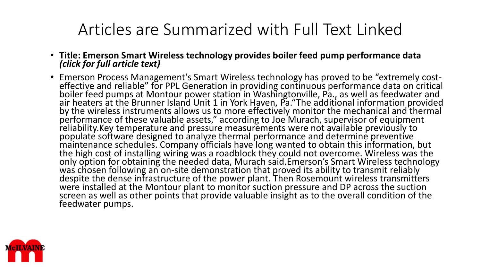#### Articles are Summarized with Full Text Linked

- **Title: Emerson Smart Wireless technology provides boiler feed pump performance data**  *(click for full article text)*
- Emerson Process Management's Smart Wireless technology has proved to be "extremely costeffective and reliable" for PPL Generation in providing continuous performance data on critical boiler feed pumps at Montour power station in Washingtonville, Pa., as well as feedwater and air heaters at the Brunner Island Unit 1 in York Haven, Pa."The additional information provided by the wireless instruments allows us to more effectively monitor the mechanical and thermal performance of these valuable assets," according to Joe Murach, supervisor of equipment reliability.Key temperature and pressure measurements were not available previously to populate software designed to analyze thermal performance and determine preventive maintenance schedules. Company officials have long wanted to obtain this information, but the high cost of installing wiring was a roadblock they could not overcome. Wireless was the only option for obtaining the needed data, Murach said.Emerson's Smart Wireless technology was chosen following an on-site demonstration that proved its ability to transmit reliably despite the dense infrastructure of the power plant. Then Rosemount wireless transmitters were installed at the Montour plant to monitor suction pressure and DP across the suction screen as well as other points that provide valuable insight as to the overall condition of the feedwater pumps.

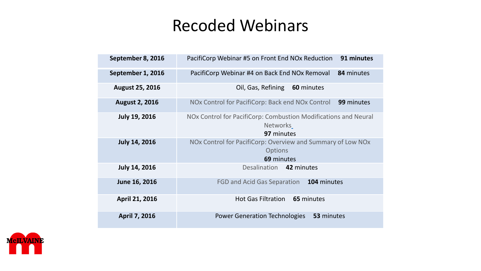#### Recoded Webinars

| September 8, 2016      | 91 minutes<br>PacifiCorp Webinar #5 on Front End NOx Reduction                                   |
|------------------------|--------------------------------------------------------------------------------------------------|
| September 1, 2016      | PacifiCorp Webinar #4 on Back End NOx Removal<br>84 minutes                                      |
| <b>August 25, 2016</b> | Oil, Gas, Refining<br>60 minutes                                                                 |
| <b>August 2, 2016</b>  | 99 minutes<br>NOx Control for PacifiCorp: Back end NOx Control                                   |
| <b>July 19, 2016</b>   | NOx Control for PacifiCorp: Combustion Modifications and Neural<br><b>Networks</b><br>97 minutes |
| <b>July 14, 2016</b>   | NOx Control for PacifiCorp: Overview and Summary of Low NOx<br><b>Options</b><br>69 minutes      |
| <b>July 14, 2016</b>   | Desalination 42 minutes                                                                          |
| June 16, 2016          | FGD and Acid Gas Separation<br>104 minutes                                                       |
| April 21, 2016         | Hot Gas Filtration 65 minutes                                                                    |
| April 7, 2016          | 53 minutes<br><b>Power Generation Technologies</b>                                               |

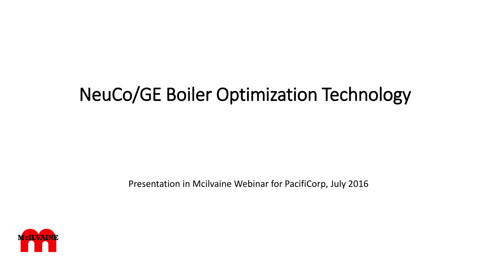# NeuCo/GE Boiler Optimization Technology

Presentation in Mcilvaine Webinar for PacifiCorp, July 2016

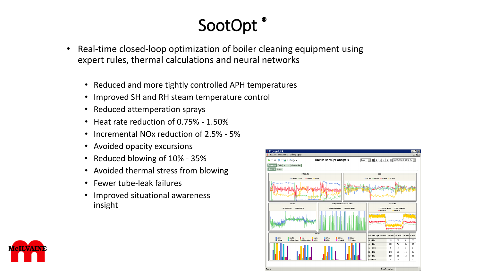# SootOpt

- Real-time closed-loop optimization of boiler cleaning equipment using expert rules, thermal calculations and neural networks
	- Reduced and more tightly controlled APH temperatures
	- Improved SH and RH steam temperature control
	- Reduced attemperation sprays
	- Heat rate reduction of 0.75% 1.50%
	- Incremental NOx reduction of 2.5% 5%
	- Avoided opacity excursions
	- Reduced blowing of 10% 35%
	- Avoided thermal stress from blowing
	- Fewer tube-leak failures
	- Improved situational awareness insight